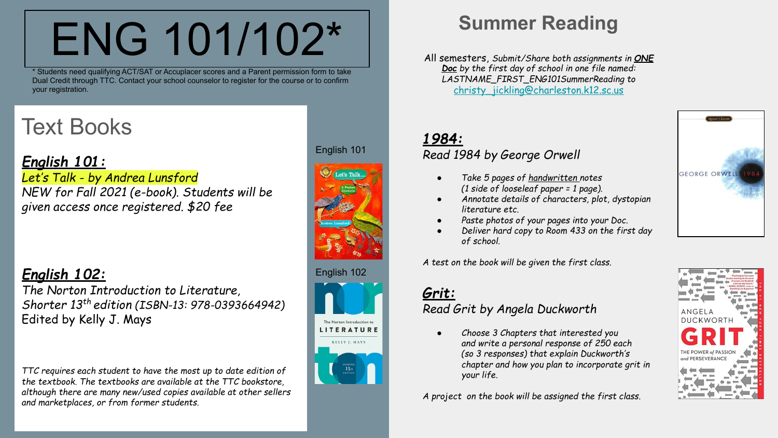# ENG 101/102\*

\* Students need qualifying ACT/SAT or Accuplacer scores and a Parent permission form to take Dual Credit through TTC. Contact your school counselor to register for the course or to confirm your registration.

# Text Books

### *English 101:*

*Let's Talk - by Andrea Lunsford NEW for Fall 2021 (e-book). Students will be given access once registered. \$20 fee* 

### *English 102:*

*The Norton Introduction to Literature, Shorter 13th edition (ISBN-13: 978-0393664942)*  Edited by Kelly J. Mays

*TTC requires each student to have the most up to date edition of the textbook. The textbooks are available at the TTC bookstore, although there are many new/used copies available at other sellers and marketplaces, or from former students.*

### English 101



#### English 102



# **Summer Reading**

All semesters, *Submit/Share both assignments in ONE Doc by the first day of school in one file named: LASTNAME\_FIRST\_ENG101SummerReading to*  christy jickling@charleston.k12.sc.us

## *1984:*

*Read 1984 by George Orwell*

- *● Take 5 pages of handwritten notes (1 side of looseleaf paper = 1 page).*
- *● Annotate details of characters, plot, dystopian literature etc.*
- Paste photos of your pages into your Doc.
- *● Deliver hard copy to Room 433 on the first day of school.*

*A test on the book will be given the first class.*

### *Grit: Read Grit by Angela Duckworth*

*● Choose 3 Chapters that interested you and write a personal response of 250 each (so 3 responses) that explain Duckworth's chapter and how you plan to incorporate grit in your life.*

*A project on the book will be assigned the first class.*